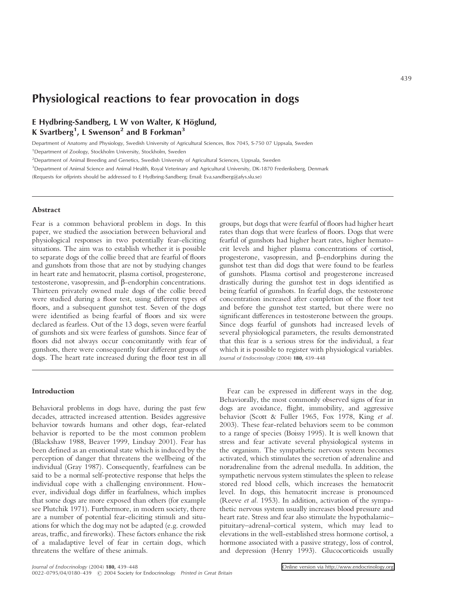# **Physiological reactions to fear provocation in dogs**

# **E Hydbring-Sandberg, L W von Walter, K Höglund, K Svartberg1 , L Swenson2 and B Forkman3**

Department of Anatomy and Physiology, Swedish University of Agricultural Sciences, Box 7045, S-750 07 Uppsala, Sweden

<sup>1</sup>Department of Zoology, Stockholm University, Stockholm, Sweden

<sup>2</sup>Department of Animal Breeding and Genetics, Swedish University of Agricultural Sciences, Uppsala, Sweden

<sup>3</sup>Department of Animal Science and Animal Health, Royal Veterinary and Agricultural University, DK-1870 Frederiksberg, Denmark

(Requests for offprints should be addressed to E Hydbring-Sandberg; Email: Eva.sandberg@afys.slu.se)

## **Abstract**

Fear is a common behavioral problem in dogs. In this paper, we studied the association between behavioral and physiological responses in two potentially fear-eliciting situations. The aim was to establish whether it is possible to separate dogs of the collie breed that are fearful of floors and gunshots from those that are not by studying changes in heart rate and hematocrit, plasma cortisol, progesterone, testosterone, vasopressin, and  $\beta$ -endorphin concentrations. Thirteen privately owned male dogs of the collie breed were studied during a floor test, using different types of floors, and a subsequent gunshot test. Seven of the dogs were identified as being fearful of floors and six were declared as fearless. Out of the 13 dogs, seven were fearful of gunshots and six were fearless of gunshots. Since fear of floors did not always occur concomitantly with fear of gunshots, there were consequently four different groups of dogs. The heart rate increased during the floor test in all

# **Introduction**

Behavioral problems in dogs have, during the past few decades, attracted increased attention. Besides aggressive behavior towards humans and other dogs, fear-related behavior is reported to be the most common problem (Blackshaw 1988, Beaver 1999, Lindsay 2001). Fear has been defined as an emotional state which is induced by the perception of danger that threatens the wellbeing of the individual (Gray 1987). Consequently, fearfulness can be said to be a normal self-protective response that helps the individual cope with a challenging environment. However, individual dogs differ in fearfulness, which implies that some dogs are more exposed than others (for example see Plutchik 1971). Furthermore, in modern society, there are a number of potential fear-eliciting stimuli and situations for which the dog may not be adapted (e.g. crowded areas, traffic, and fireworks). These factors enhance the risk of a maladaptive level of fear in certain dogs, which threatens the welfare of these animals.

groups, but dogs that were fearful of floors had higher heart rates than dogs that were fearless of floors. Dogs that were fearful of gunshots had higher heart rates, higher hematocrit levels and higher plasma concentrations of cortisol, progesterone, vasopressin, and  $\beta$ -endorphins during the gunshot test than did dogs that were found to be fearless of gunshots. Plasma cortisol and progesterone increased drastically during the gunshot test in dogs identified as being fearful of gunshots. In fearful dogs, the testosterone concentration increased after completion of the floor test and before the gunshot test started, but there were no significant differences in testosterone between the groups. Since dogs fearful of gunshots had increased levels of several physiological parameters, the results demonstrated that this fear is a serious stress for the individual, a fear which it is possible to register with physiological variables. *Journal of Endocrinology* (2004) **180,** 439–448

Fear can be expressed in different ways in the dog. Behaviorally, the most commonly observed signs of fear in dogs are avoidance, flight, immobility, and aggressive behavior (Scott & Fuller 1965, Fox 1978, King *et al.* 2003). These fear-related behaviors seem to be common to a range of species (Boissy 1995). It is well known that stress and fear activate several physiological systems in the organism. The sympathetic nervous system becomes activated, which stimulates the secretion of adrenaline and noradrenaline from the adrenal medulla. In addition, the sympathetic nervous system stimulates the spleen to release stored red blood cells, which increases the hematocrit level. In dogs, this hematocrit increase is pronounced (Reeve *et al.* 1953). In addition, activation of the sympathetic nervous system usually increases blood pressure and heart rate. Stress and fear also stimulate the hypothalamic– pituitary–adrenal–cortical system, which may lead to elevations in the well-established stress hormone cortisol, a hormone associated with a passive strategy, loss of control, and depression (Henry 1993). Glucocorticoids usually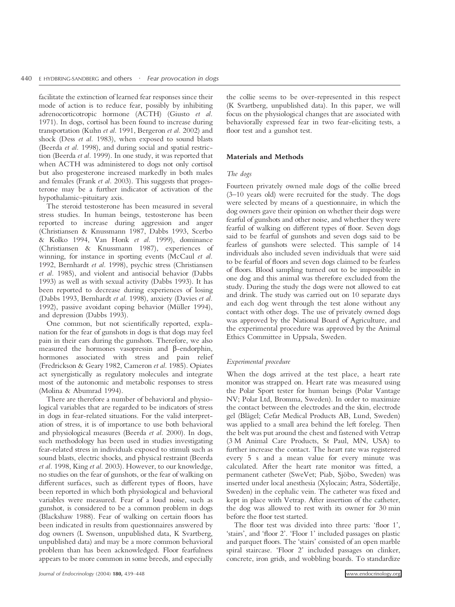facilitate the extinction of learned fear responses since their mode of action is to reduce fear, possibly by inhibiting adrenocorticotropic hormone (ACTH) (Giusto *et al.* 1971). In dogs, cortisol has been found to increase during transportation (Kuhn *et al.* 1991, Bergeron *et al.* 2002) and shock (Dess *et al.* 1983), when exposed to sound blasts (Beerda *et al.* 1998), and during social and spatial restriction (Beerda *et al.* 1999). In one study, it was reported that when ACTH was administered to dogs not only cortisol but also progesterone increased markedly in both males and females (Frank *et al.* 2003). This suggests that progesterone may be a further indicator of activation of the hypothalamic–pituitary axis.

The steroid testosterone has been measured in several stress studies. In human beings, testosterone has been reported to increase during aggression and anger (Christiansen & Knussmann 1987, Dabbs 1993, Scerbo & Kolko 1994, Van Honk *et al.* 1999), dominance (Christiansen & Knussmann 1987), experiences of winning, for instance in sporting events (McCaul *et al.* 1992, Bernhardt *et al.* 1998), psychic stress (Christiansen *et al.* 1985), and violent and antisocial behavior (Dabbs 1993) as well as with sexual activity (Dabbs 1993). It has been reported to decrease during experiences of losing (Dabbs 1993, Bernhardt *et al.* 1998), anxiety (Davies *et al.* 1992), passive avoidant coping behavior (Müller 1994), and depression (Dabbs 1993).

One common, but not scientifically reported, explanation for the fear of gunshots in dogs is that dogs may feel pain in their ears during the gunshots. Therefore, we also measured the hormones vasopressin and  $\beta$ -endorphin, hormones associated with stress and pain relief (Fredrickson & Geary 1982, Cameron *et al.* 1985). Opiates act synergistically as regulatory molecules and integrate most of the autonomic and metabolic responses to stress (Molina & Abumrad 1994).

There are therefore a number of behavioral and physiological variables that are regarded to be indicators of stress in dogs in fear-related situations. For the valid interpretation of stress, it is of importance to use both behavioral and physiological measures (Beerda *et al.* 2000). In dogs, such methodology has been used in studies investigating fear-related stress in individuals exposed to stimuli such as sound blasts, electric shocks, and physical restraint (Beerda *et al.* 1998, King *et al.* 2003). However, to our knowledge, no studies on the fear of gunshots, or the fear of walking on different surfaces, such as different types of floors, have been reported in which both physiological and behavioral variables were measured. Fear of a loud noise, such as gunshot, is considered to be a common problem in dogs (Blackshaw 1988). Fear of walking on certain floors has been indicated in results from questionnaires answered by dog owners (L Swenson, unpublished data, K Svartberg, unpublished data) and may be a more common behavioral problem than has been acknowledged. Floor fearfulness appears to be more common in some breeds, and especially the collie seems to be over-represented in this respect (K Svartberg, unpublished data). In this paper, we will focus on the physiological changes that are associated with behaviorally expressed fear in two fear-eliciting tests, a floor test and a gunshot test.

# **Materials and Methods**

# *The dogs*

Fourteen privately owned male dogs of the collie breed (3–10 years old) were recruited for the study. The dogs were selected by means of a questionnaire, in which the dog owners gave their opinion on whether their dogs were fearful of gunshots and other noise, and whether they were fearful of walking on different types of floor. Seven dogs said to be fearful of gunshots and seven dogs said to be fearless of gunshots were selected. This sample of 14 individuals also included seven individuals that were said to be fearful of floors and seven dogs claimed to be fearless of floors. Blood sampling turned out to be impossible in one dog and this animal was therefore excluded from the study. During the study the dogs were not allowed to eat and drink. The study was carried out on 10 separate days and each dog went through the test alone without any contact with other dogs. The use of privately owned dogs was approved by the National Board of Agriculture, and the experimental procedure was approved by the Animal Ethics Committee in Uppsala, Sweden.

# *Experimental procedure*

When the dogs arrived at the test place, a heart rate monitor was strapped on. Heart rate was measured using the Polar Sport tester for human beings (Polar Vantage NV; Polar Ltd, Bromma, Sweden). In order to maximize the contact between the electrodes and the skin, electrode gel (Blågel; Cefar Medical Products AB, Lund, Sweden) was applied to a small area behind the left foreleg. Then the belt was put around the chest and fastened with Vetrap (3 M Animal Care Products, St Paul, MN, USA) to further increase the contact. The heart rate was registered every 5 s and a mean value for every minute was calculated. After the heart rate monitor was fitted, a permanent catheter (SweVet; Piab, Sjöbo, Sweden) was inserted under local anesthesia (Xylocain; Astra, Södertälje, Sweden) in the cephalic vein. The catheter was fixed and kept in place with Vetrap. After insertion of the catheter, the dog was allowed to rest with its owner for 30 min before the floor test started.

The floor test was divided into three parts: 'floor 1', 'stairs', and 'floor 2'. 'Floor 1' included passages on plastic and parquet floors. The 'stairs' consisted of an open marble spiral staircase. 'Floor 2' included passages on clinker, concrete, iron grids, and wobbling boards. To standardize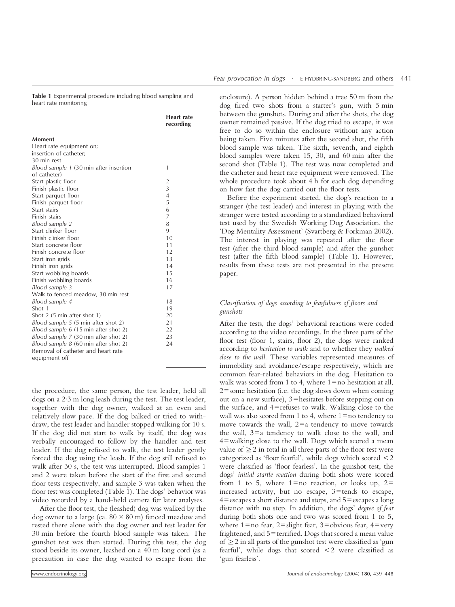**Table 1** Experimental procedure including blood sampling and heart rate monitoring

|                                                                                             | <b>Heart</b> rate<br>recording |
|---------------------------------------------------------------------------------------------|--------------------------------|
| <b>Moment</b>                                                                               |                                |
| Heart rate equipment on;                                                                    |                                |
| insertion of catheter;                                                                      |                                |
| 30 min rest                                                                                 |                                |
| Blood sample 1 (30 min after insertion                                                      | 1                              |
| of catheter)                                                                                |                                |
| Start plastic floor                                                                         | $\overline{2}$                 |
| Finish plastic floor                                                                        | $\overline{3}$                 |
| Start parquet floor                                                                         | $\overline{4}$                 |
| Finish parquet floor                                                                        | 5                              |
| Start stairs                                                                                | 6                              |
| Finish stairs                                                                               | 7                              |
| Blood sample 2                                                                              | 8                              |
| Start clinker floor                                                                         | 9                              |
| Finish clinker floor                                                                        | 10                             |
| Start concrete floor                                                                        | 11                             |
| Finish concrete floor                                                                       | 12                             |
| Start iron grids                                                                            | 13                             |
| Finish iron grids                                                                           | 14                             |
| Start wobbling boards                                                                       | 15                             |
| Finish wobbling boards                                                                      | 16                             |
| Blood sample 3                                                                              | 17                             |
| Walk to fenced meadow, 30 min rest                                                          |                                |
| Blood sample 4                                                                              | 18                             |
| Shot 1                                                                                      | 19                             |
| Shot 2 (5 min after shot 1)                                                                 | 20                             |
| Blood sample 5 (5 min after shot 2)                                                         | 21                             |
| Blood sample 6 (15 min after shot 2)                                                        | 22                             |
| Blood sample 7 (30 min after shot 2)                                                        | 23                             |
| Blood sample 8 (60 min after shot 2)<br>Removal of catheter and heart rate<br>equipment off | 24                             |

the procedure, the same person, the test leader, held all dogs on a 2·3 m long leash during the test. The test leader, together with the dog owner, walked at an even and relatively slow pace. If the dog balked or tried to withdraw, the test leader and handler stopped walking for 10 s. If the dog did not start to walk by itself, the dog was verbally encouraged to follow by the handler and test leader. If the dog refused to walk, the test leader gently forced the dog using the leash. If the dog still refused to walk after 30 s, the test was interrupted. Blood samples 1 and 2 were taken before the start of the first and second floor tests respectively, and sample 3 was taken when the floor test was completed (Table 1). The dogs' behavior was video recorded by a hand-held camera for later analyses.

After the floor test, the (leashed) dog was walked by the dog owner to a large (ca.  $80 \times 80$  m) fenced meadow and rested there alone with the dog owner and test leader for 30 min before the fourth blood sample was taken. The gunshot test was then started. During this test, the dog stood beside its owner, leashed on a 40 m long cord (as a precaution in case the dog wanted to escape from the

enclosure). A person hidden behind a tree 50 m from the dog fired two shots from a starter's gun, with 5 min between the gunshots. During and after the shots, the dog owner remained passive. If the dog tried to escape, it was free to do so within the enclosure without any action being taken. Five minutes after the second shot, the fifth blood sample was taken. The sixth, seventh, and eighth blood samples were taken 15, 30, and 60 min after the second shot (Table 1). The test was now completed and the catheter and heart rate equipment were removed. The whole procedure took about 4 h for each dog depending on how fast the dog carried out the floor tests.

Before the experiment started, the dog's reaction to a stranger (the test leader) and interest in playing with the stranger were tested according to a standardized behavioral test used by the Swedish Working Dog Association, the 'Dog Mentality Assessment' (Svartberg & Forkman 2002). The interest in playing was repeated after the floor test (after the third blood sample) and after the gunshot test (after the fifth blood sample) (Table 1). However, results from these tests are not presented in the present paper.

# *Classification of dogs according to fearfulness of floors and gunshots*

After the tests, the dogs' behavioral reactions were coded according to the video recordings. In the three parts of the floor test (floor 1, stairs, floor 2), the dogs were ranked according to *hesitation to walk* and to whether they *walked close to the wall*. These variables represented measures of immobility and avoidance/escape respectively, which are common fear-related behaviors in the dog. Hesitation to walk was scored from 1 to 4, where  $1 =$  no hesitation at all,  $2$ = some hesitation (i.e. the dog slows down when coming out on a new surface), 3=hesitates before stepping out on the surface, and  $4$ =refuses to walk. Walking close to the wall was also scored from 1 to 4, where  $1=$  no tendency to move towards the wall,  $2 = a$  tendency to move towards the wall,  $3=$ a tendency to walk close to the wall, and 4=walking close to the wall. Dogs which scored a mean value of  $\geq$  2 in total in all three parts of the floor test were categorized as 'floor fearful', while dogs which scored  $<$  2 were classified as 'floor fearless'. In the gunshot test, the dogs' *initial startle reaction* during both shots were scored from 1 to 5, where  $1 \equiv$ no reaction, or looks up,  $2 \equiv$ increased activity, but no escape, 3=tends to escape, 4=escapes a short distance and stops, and 5=escapes a long distance with no stop. In addition, the dogs' *degree of fear* during both shots one and two was scored from 1 to 5, where  $1 =$ no fear,  $2 =$ slight fear,  $3 =$ obvious fear,  $4 =$ very frightened, and 5=terrified. Dogs that scored a mean value of  $\geq$  2 in all parts of the gunshot test were classified as 'gun fearful', while dogs that scored  $\leq$  were classified as 'gun fearless'.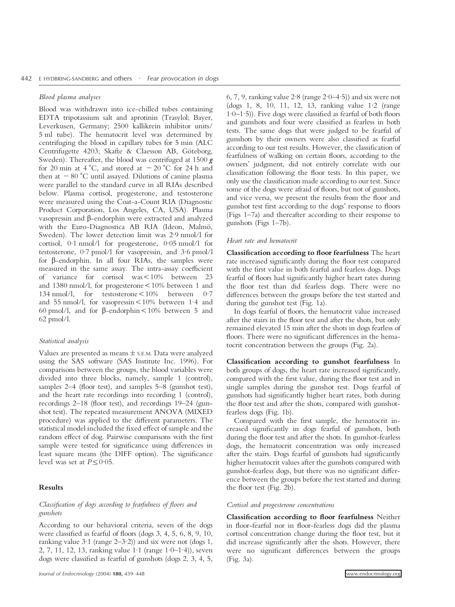#### *Blood plasma analyses*

Blood was withdrawn into ice-chilled tubes containing EDTA tripotassium salt and aprotinin (Trasylol; Bayer, Leverkusen, Germany; 2500 kallikrein inhibitor units/ 5 ml tube). The hematocrit level was determined by centrifuging the blood in capillary tubes for 5 min (ALC Centrifugette 4203; Skafte & Claesson AB, Göteborg, Sweden). Thereafter, the blood was centrifuged at 1500 *g* for 20 min at 4 °C, and stored at  $-20$  °C for 24 h and then at  $-80$  °C until assayed. Dilutions of canine plasma were parallel to the standard curve in all RIAs described below. Plasma cortisol, progesterone, and testosterone were measured using the Coat-a-Count RIA (Diagnostic Product Corporation, Los Angeles, CA, USA). Plasma vasopressin and  $\beta$ -endorphin were extracted and analyzed with the Euro-Diagnostica AB RIA (Ideon, Malmö, Sweden). The lower detection limit was 2·9 nmol/l for cortisol, 0·1 nmol/l for progesterone, 0·05 nmol/l for testosterone, 0·7 pmol/l for vasopressin, and 3·6 pmol/l for  $\beta$ -endorphin. In all four RIAs, the samples were measured in the same assay. The intra-assay coefficient of variance for cortisol was $<10\%$  between 23 and  $1380$  nmol/l, for progesterone <10% between 1 and 134 nmol/l, for testosterone  $\leq 10\%$  between 0.7 and 55 nmol/l, for vasopressin $<$ 10% between 1·4 and 60 pmol/l, and for  $\beta$ -endorphin $\leq 10\%$  between 5 and 62 pmol/l.

## *Statistical analysis*

Values are presented as means  $\pm$  s.e.m. Data were analyzed using the SAS software (SAS Institute Inc. 1996). For comparisons between the groups, the blood variables were divided into three blocks, namely, sample 1 (control), samples 2–4 (floor test), and samples 5–8 (gunshot test), and the heart rate recordings into recording 1 (control), recordings 2–18 (floor test), and recordings 19–24 (gunshot test). The repeated measurement ANOVA (MIXED procedure) was applied to the different parameters. The statistical model included the fixed effect of sample and the random effect of dog. Pairwise comparisons with the first sample were tested for significance using differences in least square means (the DIFF option). The significance level was set at  $P \leq 0.05$ .

## **Results**

# *Classification of dogs according to fearfulness of floors and gunshots*

According to our behavioral criteria, seven of the dogs were classified as fearful of floors (dogs 3, 4, 5, 6, 8, 9, 10, ranking value  $3.1$  (range  $2-3.2$ )) and six were not (dogs 1, 2, 7, 11, 12, 13, ranking value 1·1 (range 1·0–1·4)), seven dogs were classified as fearful of gunshots (dogs 2, 3, 4, 5,

6, 7, 9, ranking value 2·8 (range 2·0–4·5)) and six were not (dogs 1, 8, 10, 11, 12, 13, ranking value 1·2 (range 1·0–1·5)). Five dogs were classified as fearful of both floors and gunshots and four were classified as fearless in both tests. The same dogs that were judged to be fearful of gunshots by their owners were also classified as fearful according to our test results. However, the classification of fearfulness of walking on certain floors, according to the owners' judgment, did not entirely correlate with our classification following the floor tests. In this paper, we only use the classification made according to our test. Since some of the dogs were afraid of floors, but not of gunshots, and vice versa, we present the results from the floor and gunshot test first according to the dogs' response to floors (Figs 1–7a) and thereafter according to their response to gunshots (Figs 1–7b).

#### *Heart rate and hematocrit*

**Classification according to floor fearfulness** The heart rate increased significantly during the floor test compared with the first value in both fearful and fearless dogs. Dogs fearful of floors had significantly higher heart rates during the floor test than did fearless dogs. There were no differences between the groups before the test started and during the gunshot test (Fig. 1a).

In dogs fearful of floors, the hematocrit value increased after the stairs in the floor test and after the shots, but only remained elevated 15 min after the shots in dogs fearless of floors. There were no significant differences in the hematocrit concentration between the groups (Fig. 2a).

**Classification according to gunshot fearfulness** In both groups of dogs, the heart rate increased significantly, compared with the first value, during the floor test and in single samples during the gunshot test. Dogs fearful of gunshots had significantly higher heart rates, both during the floor test and after the shots, compared with gunshotfearless dogs (Fig. 1b).

Compared with the first sample, the hematocrit increased significantly in dogs fearful of gunshots, both during the floor test and after the shots. In gunshot-fearless dogs, the hematocrit concentration was only increased after the stairs. Dogs fearful of gunshots had significantly higher hematocrit values after the gunshots compared with gunshot-fearless dogs, but there was no significant difference between the groups before the test started and during the floor test (Fig. 2b).

#### *Cortisol and progesterone concentrations*

**Classification according to floor fearfulness** Neither in floor-fearful nor in floor-fearless dogs did the plasma cortisol concentration change during the floor test, but it did increase significantly after the shots. However, there were no significant differences between the groups (Fig. 3a).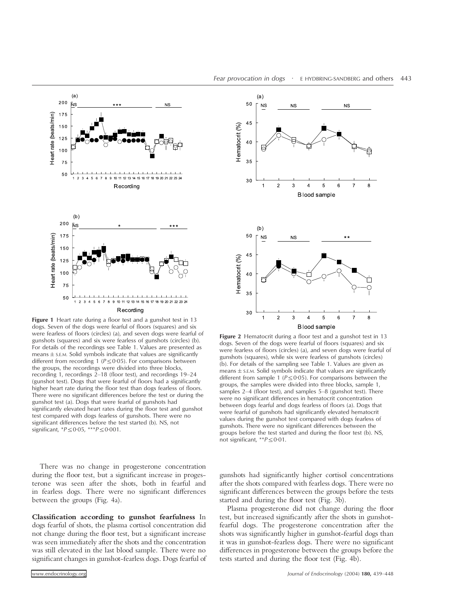



**Figure 1** Heart rate during a floor test and a gunshot test in 13 dogs. Seven of the dogs were fearful of floors (squares) and six were fearless of floors (circles) (a), and seven dogs were fearful of gunshots (squares) and six were fearless of gunshots (circles) (b). For details of the recordings see Table 1. Values are presented as means  $\pm$  s.E.M. Solid symbols indicate that values are significantly different from recording 1 ( $P \le 0.05$ ). For comparisons between the groups, the recordings were divided into three blocks, recording 1, recordings 2–18 (floor test), and recordings 19–24 (gunshot test). Dogs that were fearful of floors had a significantly higher heart rate during the floor test than dogs fearless of floors. There were no significant differences before the test or during the gunshot test (a). Dogs that were fearful of gunshots had significantly elevated heart rates during the floor test and gunshot test compared with dogs fearless of gunshots. There were no significant differences before the test started (b). NS, not significant, \**P*-0·05, \*\*\**P*-0·001.

There was no change in progesterone concentration during the floor test, but a significant increase in progesterone was seen after the shots, both in fearful and in fearless dogs. There were no significant differences between the groups (Fig. 4a).

**Classification according to gunshot fearfulness** In dogs fearful of shots, the plasma cortisol concentration did not change during the floor test, but a significant increase was seen immediately after the shots and the concentration was still elevated in the last blood sample. There were no significant changes in gunshot-fearless dogs. Dogs fearful of



**Figure 2** Hematocrit during a floor test and a gunshot test in 13 dogs. Seven of the dogs were fearful of floors (squares) and six were fearless of floors (circles) (a), and seven dogs were fearful of gunshots (squares), while six were fearless of gunshots (circles) (b). For details of the sampling see Table 1. Values are given as means  $\pm$  s.E.M. Solid symbols indicate that values are significantly different from sample 1 ( $P \le 0.05$ ). For comparisons between the groups, the samples were divided into three blocks, sample 1, samples 2–4 (floor test), and samples 5–8 (gunshot test). There were no significant differences in hematocrit concentration between dogs fearful and dogs fearless of floors (a). Dogs that were fearful of gunshots had significantly elevated hematocrit values during the gunshot test compared with dogs fearless of gunshots. There were no significant differences between the groups before the test started and during the floor test (b). NS, not significant, \*\*P≤0·01.

gunshots had significantly higher cortisol concentrations after the shots compared with fearless dogs. There were no significant differences between the groups before the tests started and during the floor test (Fig. 3b).

Plasma progesterone did not change during the floor test, but increased significantly after the shots in gunshotfearful dogs. The progesterone concentration after the shots was significantly higher in gunshot-fearful dogs than it was in gunshot-fearless dogs. There were no significant differences in progesterone between the groups before the tests started and during the floor test (Fig. 4b).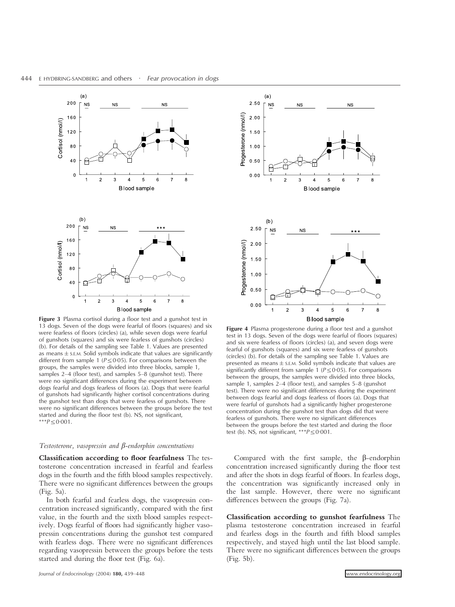

**Figure 3** Plasma cortisol during a floor test and a gunshot test in 13 dogs. Seven of the dogs were fearful of floors (squares) and six were fearless of floors (circles) (a), while seven dogs were fearful of gunshots (squares) and six were fearless of gunshots (circles) (b). For details of the sampling see Table 1. Values are presented as means  $\pm$  s.E.M. Solid symbols indicate that values are significantly different from sample 1 ( $P \le 0.05$ ). For comparisons between the groups, the samples were divided into three blocks, sample 1, samples 2–4 (floor test), and samples 5–8 (gunshot test). There were no significant differences during the experiment between dogs fearful and dogs fearless of floors (a). Dogs that were fearful of gunshots had significantly higher cortisol concentrations during the gunshot test than dogs that were fearless of gunshots. There were no significant differences between the groups before the test started and during the floor test (b). NS, not significant,  $***P \leq 0.001$ .

#### *Testosterone, vasopressin and*  $\beta$ *-endorphin concentrations*

**Classification according to floor fearfulness** The testosterone concentration increased in fearful and fearless dogs in the fourth and the fifth blood samples respectively. There were no significant differences between the groups (Fig. 5a).

In both fearful and fearless dogs, the vasopressin concentration increased significantly, compared with the first value, in the fourth and the sixth blood samples respectively. Dogs fearful of floors had significantly higher vasopressin concentrations during the gunshot test compared with fearless dogs. There were no significant differences regarding vasopressin between the groups before the tests started and during the floor test (Fig. 6a).



**Figure 4** Plasma progesterone during a floor test and a gunshot test in 13 dogs. Seven of the dogs were fearful of floors (squares) and six were fearless of floors (circles) (a), and seven dogs were fearful of gunshots (squares) and six were fearless of gunshots (circles) (b). For details of the sampling see Table 1. Values are presented as means  $\pm$  s.E.M. Solid symbols indicate that values are significantly different from sample 1 ( $P \le 0.05$ ). For comparisons between the groups, the samples were divided into three blocks, sample 1, samples 2–4 (floor test), and samples 5–8 (gunshot test). There were no significant differences during the experiment between dogs fearful and dogs fearless of floors (a). Dogs that were fearful of gunshots had a significantly higher progesterone concentration during the gunshot test than dogs did that were fearless of gunshots. There were no significant differences between the groups before the test started and during the floor test (b). NS, not significant, \*\*\**P*-0·001.

Compared with the first sample, the  $\beta$ -endorphin concentration increased significantly during the floor test and after the shots in dogs fearful of floors. In fearless dogs, the concentration was significantly increased only in the last sample. However, there were no significant differences between the groups (Fig. 7a).

**Classification according to gunshot fearfulness** The plasma testosterone concentration increased in fearful and fearless dogs in the fourth and fifth blood samples respectively, and stayed high until the last blood sample. There were no significant differences between the groups (Fig. 5b).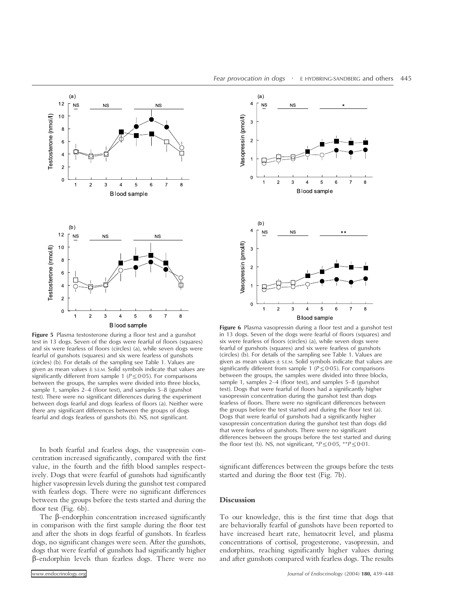

**Figure 5** Plasma testosterone during a floor test and a gunshot test in 13 dogs. Seven of the dogs were fearful of floors (squares) and six were fearless of floors (circles) (a), while seven dogs were fearful of gunshots (squares) and six were fearless of gunshots (circles) (b). For details of the sampling see Table 1. Values are given as mean values  $\pm$  s.E.M. Solid symbols indicate that values are significantly different from sample 1 ( $P \le 0.05$ ). For comparisons between the groups, the samples were divided into three blocks, sample 1, samples 2–4 (floor test), and samples 5–8 (gunshot test). There were no significant differences during the experiment between dogs fearful and dogs fearless of floors (a). Neither were there any significant differences between the groups of dogs fearful and dogs fearless of gunshots (b). NS, not significant.

In both fearful and fearless dogs, the vasopressin concentration increased significantly, compared with the first value, in the fourth and the fifth blood samples respectively. Dogs that were fearful of gunshots had significantly higher vasopressin levels during the gunshot test compared with fearless dogs. There were no significant differences between the groups before the tests started and during the floor test (Fig. 6b).

The  $\beta$ -endorphin concentration increased significantly in comparison with the first sample during the floor test and after the shots in dogs fearful of gunshots. In fearless dogs, no significant changes were seen. After the gunshots, dogs that were fearful of gunshots had significantly higher -endorphin levels than fearless dogs. There were no



**Figure 6** Plasma vasopressin during a floor test and a gunshot test in 13 dogs. Seven of the dogs were fearful of floors (squares) and six were fearless of floors (circles) (a), while seven dogs were fearful of gunshots (squares) and six were fearless of gunshots (circles) (b). For details of the sampling see Table 1. Values are given as mean values  $\pm$  s.E.M. Solid symbols indicate that values are significantly different from sample  $1$  ( $P \le 0.05$ ). For comparisons between the groups, the samples were divided into three blocks, sample 1, samples 2–4 (floor test), and samples 5–8 (gunshot test). Dogs that were fearful of floors had a significantly higher vasopressin concentration during the gunshot test than dogs fearless of floors. There were no significant differences between the groups before the test started and during the floor test (a). Dogs that were fearful of gunshots had a significantly higher vasopressin concentration during the gunshot test than dogs did that were fearless of gunshots. There were no significant differences between the groups before the test started and during the floor test (b). NS, not significant,  $^{\ast}P \le 0.05$ ,  $^{\ast\ast}P \le 0.01$ .

significant differences between the groups before the tests started and during the floor test (Fig. 7b).

#### **Discussion**

To our knowledge, this is the first time that dogs that are behaviorally fearful of gunshots have been reported to have increased heart rate, hematocrit level, and plasma concentrations of cortisol, progesterone, vasopressin, and endorphins, reaching significantly higher values during and after gunshots compared with fearless dogs. The results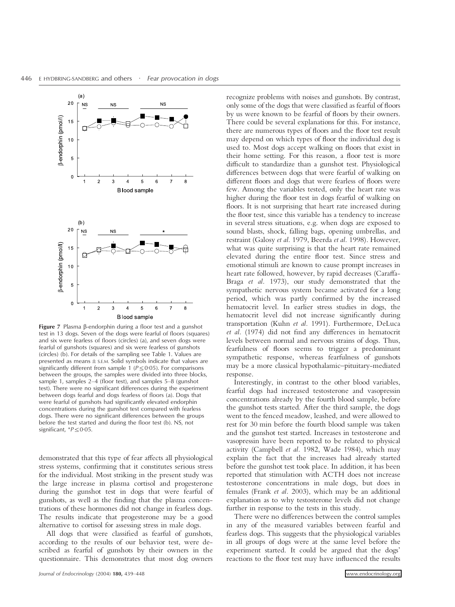

**Figure 7** Plasma B-endorphin during a floor test and a gunshot test in 13 dogs. Seven of the dogs were fearful of floors (squares) and six were fearless of floors (circles) (a), and seven dogs were fearful of gunshots (squares) and six were fearless of gunshots (circles) (b). For details of the sampling see Table 1. Values are presented as means  $\pm$  s.E.M. Solid symbols indicate that values are significantly different from sample 1 ( $P \le 0.05$ ). For comparisons between the groups, the samples were divided into three blocks, sample 1, samples 2–4 (floor test), and samples 5–8 (gunshot test). There were no significant differences during the experiment between dogs fearful and dogs fearless of floors (a). Dogs that were fearful of gunshots had significantly elevated endorphin concentrations during the gunshot test compared with fearless dogs. There were no significant differences between the groups before the test started and during the floor test (b). NS, not significant, *\*P* ≤0·05.

demonstrated that this type of fear affects all physiological stress systems, confirming that it constitutes serious stress for the individual. Most striking in the present study was the large increase in plasma cortisol and progesterone during the gunshot test in dogs that were fearful of gunshots, as well as the finding that the plasma concentrations of these hormones did not change in fearless dogs. The results indicate that progesterone may be a good alternative to cortisol for assessing stress in male dogs.

All dogs that were classified as fearful of gunshots, according to the results of our behavior test, were described as fearful of gunshots by their owners in the questionnaire. This demonstrates that most dog owners

may depend on which types of floor the individual dog is used to. Most dogs accept walking on floors that exist in their home setting. For this reason, a floor test is more difficult to standardize than a gunshot test. Physiological differences between dogs that were fearful of walking on different floors and dogs that were fearless of floors were few. Among the variables tested, only the heart rate was higher during the floor test in dogs fearful of walking on floors. It is not surprising that heart rate increased during the floor test, since this variable has a tendency to increase in several stress situations, e.g. when dogs are exposed to sound blasts, shock, falling bags, opening umbrellas, and restraint (Galosy *et al.* 1979, Beerda *et al.* 1998). However, what was quite surprising is that the heart rate remained elevated during the entire floor test. Since stress and emotional stimuli are known to cause prompt increases in heart rate followed, however, by rapid decreases (Caraffa-Braga *et al.* 1973), our study demonstrated that the sympathetic nervous system became activated for a long period, which was partly confirmed by the increased hematocrit level. In earlier stress studies in dogs, the hematocrit level did not increase significantly during transportation (Kuhn *et al.* 1991). Furthermore, DeLuca *et al.* (1974) did not find any differences in hematocrit levels between normal and nervous strains of dogs. Thus, fearfulness of floors seems to trigger a predominant sympathetic response, whereas fearfulness of gunshots may be a more classical hypothalamic–pituitary-mediated response. Interestingly, in contrast to the other blood variables,

recognize problems with noises and gunshots. By contrast, only some of the dogs that were classified as fearful of floors by us were known to be fearful of floors by their owners. There could be several explanations for this. For instance, there are numerous types of floors and the floor test result

fearful dogs had increased testosterone and vasopressin concentrations already by the fourth blood sample, before the gunshot tests started. After the third sample, the dogs went to the fenced meadow, leashed, and were allowed to rest for 30 min before the fourth blood sample was taken and the gunshot test started. Increases in testosterone and vasopressin have been reported to be related to physical activity (Campbell *et al.* 1982, Wade 1984), which may explain the fact that the increases had already started before the gunshot test took place. In addition, it has been reported that stimulation with ACTH does not increase testosterone concentrations in male dogs, but does in females (Frank *et al.* 2003), which may be an additional explanation as to why testosterone levels did not change further in response to the tests in this study.

There were no differences between the control samples in any of the measured variables between fearful and fearless dogs. This suggests that the physiological variables in all groups of dogs were at the same level before the experiment started. It could be argued that the dogs' reactions to the floor test may have influenced the results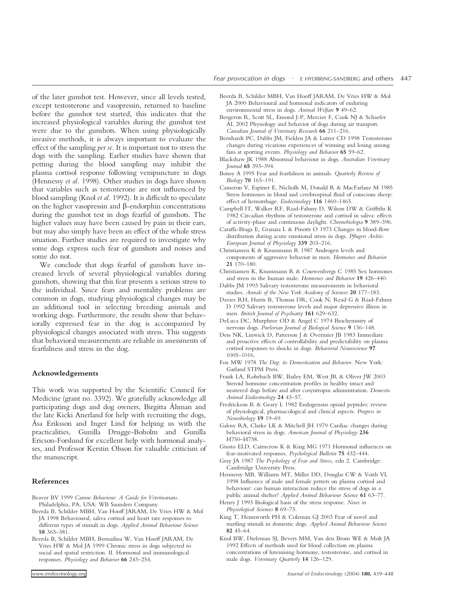of the later gunshot test. However, since all levels tested, except testosterone and vasopressin, returned to baseline before the gunshot test started, this indicates that the increased physiological variables during the gunshot test were due to the gunshots. When using physiologically invasive methods, it is always important to evaluate the effect of the sampling *per se*. It is important not to stress the dogs with the sampling. Earlier studies have shown that petting during the blood sampling may inhibit the plasma cortisol response following venipuncture in dogs (Hennessy *et al.* 1998). Other studies in dogs have shown that variables such as testosterone are not influenced by blood sampling (Knol *et al.* 1992). It is difficult to speculate on the higher vasopressin and  $\beta$ -endorphin concentrations during the gunshot test in dogs fearful of gunshots. The higher values may have been caused by pain in their ears, but may also simply have been an effect of the whole stress situation. Further studies are required to investigate why some dogs express such fear of gunshots and noises and some do not.

We conclude that dogs fearful of gunshots have increased levels of several physiological variables during gunshots, showing that this fear presents a serious stress to the individual. Since fears and mentality problems are common in dogs, studying physiological changes may be an additional tool in selecting breeding animals and working dogs. Furthermore, the results show that behaviorally expressed fear in the dog is accompanied by physiological changes associated with stress. This suggests that behavioral measurements are reliable in assessments of fearfulness and stress in the dog.

#### **Acknowledgements**

This work was supported by the Scientific Council for Medicine (grant no. 3392). We gratefully acknowledge all participating dogs and dog owners, Birgitta Åhman and the late Kicki Anerland for help with recruiting the dogs, Åsa Eriksson and Inger Lind for helping us with the practicalities, Gunilla Drugge-Boholm and Gunilla Ericson-Forslund for excellent help with hormonal analyses, and Professor Kerstin Olsson for valuable criticism of the manuscript.

#### **References**

- Beaver BV 1999 *Canine Behaviour: A Guide for Veterinarians.* Philadelphia, PA, USA: WB Saunders Company.
- Beerda B, Schilder MBH, Van Hooff JARAM, De Vries HW & Mol JA 1998 Behavioural, saliva cortisol and heart rate responses to different types of stimuli in dogs. *Applied Animal Behaviour Science* **58** 365–381.
- Beerda B, Schilder MBH, Bernadina W, Van Hooff JARAM, De Vries HW & Mol JA 1999 Chronic stress in dogs subjected to social and spatial restriction. II. Hormonal and immunological responses. *Physiology and Behavior* **66** 243–254.
- Beerda B, Schilder MBH, Van Hooff JARAM, De Vries HW & Mol JA 2000 Behavioural and hormonal indicators of enduring environmental stress in dogs. *Animal Welfare* **9** 49–62.
- Bergeron R, Scott SL, Emond J-P, Mercier F, Cook NJ & Schaefer AL 2002 Physiology and behavior of dogs during air transport. *Canadian Journal of Veterinary Research* **66** 211–216.
- Bernhardt PC, Dabbs JM, Fielden JA & Lutter CD 1998 Testosterone changes during vicarious experiences of winning and losing among fans at sporting events. *Physiology and Behavior* **65** 59–62.
- Blackshaw JK 1988 Abnormal behaviour in dogs. *Australian Veterinary Journal* **65** 393–394.
- Boissy A 1995 Fear and fearfulness in animals. *Quarterly Review of Biology* **70** 165–191.
- Cameron V, Espiner E, Nicholls M, Donald R & MacFarlane M 1985 Stress hormones in blood and cerebrospinal fluid of conscious sheep: effect of hemorrhage. *Endocrinology* **116** 1460–1465.
- Campbell IT, Walker RF, Riad-Fahmy D, Wilson DW & Griffiths K 1982 Circadian rhythms of testosterone and cortisol in saliva: effects of activity-phase and continuous daylight. *Chronobiologia* **9** 389–396.
- Caraffa-Braga E, Granata L & Pinotti O 1973 Changes in blood-flow distribution during acute emotional stress in dogs. *Pflugers Archiv. European Journal of Physiology* **339** 203–216.
- Christiansen K & Knussmann R 1987 Androgen levels and components of aggressive behavior in men. *Hormones and Behavior* **21** 170–180.
- Christiansen K, Knussmann R & Couwenbergs C 1985 Sex hormones and stress in the human male. *Hormones and Behavior* **19** 426–440.
- Dabbs JM 1993 Salivary testosterone measurements in behavioral studies. *Annals of the New York Academy of Sciences* **20** 177–183.
- Davies RH, Harris B, Thomas DR, Cook N, Read G & Riad-Fahmy D 1992 Salivary testosterone levels and major depressive illness in men. *British Journal of Psychiatry* **161** 629–632.
- DeLuca DC, Murphree OD & Angel C 1974 Biochemistry of nervous dogs. *Pavlovian Journal of Biological Science* **9** 136–148.
- Dess NK, Linwick D, Patterson J & Overmier JB 1983 Immediate and proactive effects of controllability and predictability on plasma cortisol responses to shocks in dogs. *Behavioral Neuroscience* **97** 1005–1016.
- Fox MW 1978 *The Dog: its Domestication and Behavior.* New York: Garland STPM Press.
- Frank LA, Rohrbach BW, Bailey EM, West JR & Oliver JW 2003 Steroid hormone concentration profiles in healthy intact and neutered dogs before and after cosyntropin administration. *Domestic Animal Endocrinology* **24** 43–57.
- Fredrickson R & Geary L 1982 Endogenous opioid peptides: review of physiological, pharmacological and clinical aspects. *Progress in Neurobiology* **19** 19–69.
- Galosy RA, Clarke LK & Mitchell JH 1979 Cardiac changes during behavioral stress in dogs. *American Journal of Physiology* **236** H750–H758.
- Giusto ELD, Cairncross K & King MG 1971 Hormonal influences on fear-motivated responses. *Psychological Bulletin* **75** 432–444.
- Gray JA 1987 *The Psychology of Fear and Stress*, edn 2. Cambridge: Cambridge University Press.
- Hennessy MB, Williams MT, Miller DD, Douglas CW & Voith VL 1998 Influence of male and female petters on plasma cortisol and behaviour: can human interaction reduce the stress of dogs in a public animal shelter? *Applied Animal Behaviour Science* **61** 63–77.
- Henry J 1993 Biological basis of the stress response. *News in Physiological Sciences* **8** 69–73.
- King T, Hemsworth PH & Coleman GJ 2003 Fear of novel and startling stimuli in domestic dogs. *Applied Animal Behaviour Science* **82** 45–64.
- Knol BW, Dieleman SJ, Bevers MM, Van den Brom WE & Molt JA 1992 Effects of methods used for blood collection on plasma concentrations of luteinising hormone, testosterone, and cortisol in male dogs. *Veterinary Quarterly* **14** 126–129.